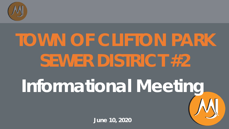

# **Informational Meeting TOWN OF CLIFTON PARK SEWER DISTRICT #2**

**June 10, 2020**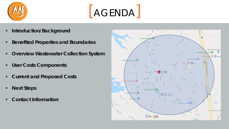



- **Introduction/Background**
- **Benefited Properties and Boundaries**
- **Overview Wastewater Collection System**
- **User Costs Components**
- **Current and Proposed Costs**
- **Next Steps**
- **Contact Information**

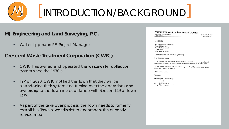

### [INTRODUCTION/BACKGROUND]

### **MJ Engineering and Land Surveying, P.C.**

**Walter Lippmann PE, Project Manager** 

#### **Crescent Waste Treatment Corporation (CWTC)**

- CWTC has owned and operated the wastewater collection system since the 1970's.
- In April 2020, CWTC notified the Town that they will be abandoning their system and turning over the operations and ownership to the Town in accordance with Section 119 of Town Law.
- As part of the take over process, the Town needs to formerly establish a Town sewer district to encompass this currently service area.

#### **CRESCENT WASTE TREATMENT CORP.**  $20$

| 20 Corporate Woods Boulevard | phone (518) 434-2519 |
|------------------------------|----------------------|
|                              |                      |
| Albany, NY 12211             | fax (518) 207-0319   |
|                              |                      |

April 20, 2020

Hon. Philip Barrett, Supervisor Town of Clifton Park Clifton Park Town Hall 1 Town Plaza Clifton Park, NY 12065

Re: Crescent Waste Treatment Corp. ("CWTC")

Dear Supervisor Barrett:

As we discussed, this is to confirm that it is the desire of CWTC to turn over operation and ownership of the sewage collection system presently maintained by CWTC to the Town.

We look forward to working with you and should you need anything from us in that regard, please do not hesitate to contact us.

Thank you very much.

Yours truly,

Crescent Waste Treatment Corp.

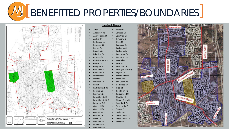**WEBOURDER PROPERTIES/BOUNDARIES** 



| <b>Involved Streets</b> |
|-------------------------|
|-------------------------|

• Mohawk Trl

• Mystic Ln • Oakwood Blvd • Okemo Ct • Old Coach Rd Parkwood Dr • Pico Rd

Stockton Ct

• Sugarbush Rd • Tekakwitha Ct **Trevor Ct** 

Westchester Dr • Willard Dr

|           | <b>Afton Ct</b>        | Irene Dr     |
|-----------|------------------------|--------------|
| $\bullet$ | Algonquin Rd           | Jamison Dr   |
| $\bullet$ | <b>Amity Pointe Ct</b> | Jonathan Dr  |
| $\bullet$ | Archer Dr              | Kimberly Ct  |
| $\bullet$ | Barkwood Ln            | Kline Ct     |
| $\bullet$ | Bonneau Rd             | Laurence Dr  |
| $\bullet$ | Boyack Rd              | Lexington Ct |
| $\bullet$ | <b>Brenden Ct</b>      | Lexington Dr |
| $\bullet$ | <b>Briarfield Dr</b>   | Longwood Dr  |
|           | Carriage Rd            | Mc Intosh Ln |

- Carriage Rd
	- Christinamarie Dr • Merrall Dr • Moe Rd
- Cobble Ct
	- Compton Rd
	- Cortland Blvd • Montgomery Way
- Crescent Rd
- Daniel Lill Ct Devon Ct
- Dorsman Dr
- Earl Ct
	- East Haystack Rd
	- **Equinox Ct** Southbury Rd
	- Fenimore Dr Springwood Ct
- Forest Pointe Dr
	- Forest Pointe Dr S Stoney Creek Dr
- Foxwood Dr S
	- Grant Hill Ct
- Grant Hill Rd
	- Greenridge Dr • Walnut Dr Westchester Ct
	- Grissom Dr
- Hawthorn Ct
- Haystack Rd
- Hiawatha Dr
- Huntwood Dr

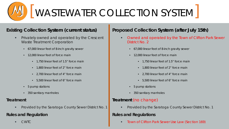

#### **Existing Collection System (current status)**

- Privately owned and operated by the Crescent Waste Treatment Corporation
	- 67,000 linear feet of 8-inch gravity sewer
	- 12,000 linear feet of force main
		- 1,750 linear feet of 1.5" force main
		- 1,800 linear feet of 2" force main
		- 2,700 linear feet of 4" force main
		- 5,500 linear feet of 6" force main
	- 5 pump stations
	- 350 sanitary manholes

#### **Treatment**

Provided by the Saratoga County Sewer District No. 1

#### **Rules and Regulation**

CWTC

#### **Proposed Collection System (after July 15th)**

- *Owned and operated by the Town of Clifton Park Sewer District No. 2*
	- 67,000 linear feet of 8-inch gravity sewer
	- 12,000 linear feet of force main
		- 1,750 linear feet of 1.5" force main
		- 1,800 linear feet of 2" force main
		- 2,700 linear feet of 4" force main
		- 5,500 linear feet of 6" force main
	- 5 pump stations
	- 350 sanitary manholes

#### **Treatment** (no change)

**Provided by the Saratoga County Sewer District No. 1** 

#### **Rules and Regulations**

*Town of Clifton Park Sewer Use Law (Section 169)*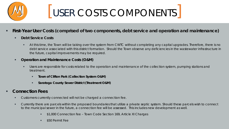

### [USER COSTS COMPONENTS]

- **First-Year User Costs (comprised of two components, debt service and operation and maintenance)**
	- **Debt Service Costs**
		- At this time, the Town will be taking over the system from CWTC without completing any capital upgrades. Therefore, there is no debt service associated with this district formation. Should the Town observe any deficiencies in the wastewater infrastructure in the future, capital improvements may be required.

#### **Operation and Maintenance Costs (O&M)**

- Users are responsible for costs related to the operation and maintenance of the collection system, pumping stations and treatment.
	- **Town of Clifton Park (Collection System O&M)**
	- **Saratoga County Sewer District (Treatment O&M)**
- **Connection Fees**
	- Customers currently connected will not be charged a connection fee.
	- Currently there are parcels within the proposed boundaries that utilize a private septic system. Should these parcels wish to connect to the municipal sewer in the future, a connection fee will be assessed. This includes new development as well.
		- **51,000 Connection fee Town Code Section 169, Article XI Charges**
		- **S50 Permit Fee**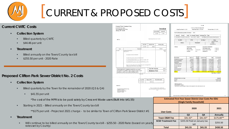

### [CURRENT & PROPOSED COSTS]

#### **Current CWTC Costs**

- **Collection System**
	- **Billed quarterly by CWTC**
	- \$44.46 per unit
- **Treatment** 
	- Billed annually on the Town/County tax bill
	- **\$255.50 per unit 2020 Rate**

#### **Proposed Clifton Park Sewer District No. 2 Costs**

- **Collection System** 
	- Billed quarterly by the Town for the remainder of 2020 (Q3 & Q4)
		- $\bullet$  \$41.55 per unit

\*The cost of the MPR is to be paid solely by Crescent Waste us

**Starting in 2021 – Billed annually on the Town/County tax bill** 

\*\* \$175 per unit - Projected 2021 charge - to be similar to Town

- **Treatment**
	- Will continue to be billed annually on the Town/County tax bill \$2 rates set by County)

|                                                                                                      |                                                                              |           |                    |                                          |                                                |                                                               |                                            |                                                                                    |                                    | Print Bill                   |                                         |                                 |
|------------------------------------------------------------------------------------------------------|------------------------------------------------------------------------------|-----------|--------------------|------------------------------------------|------------------------------------------------|---------------------------------------------------------------|--------------------------------------------|------------------------------------------------------------------------------------|------------------------------------|------------------------------|-----------------------------------------|---------------------------------|
| <b>Crescent Waste Treatment Corp.</b>                                                                |                                                                              |           |                    |                                          |                                                |                                                               |                                            |                                                                                    |                                    |                              |                                         |                                 |
| <b>C/O CFO For Hire</b>                                                                              |                                                                              |           |                    |                                          | Invoice                                        |                                                               |                                            |                                                                                    | Collection: Town & County 2020     |                              |                                         |                                 |
| <b>26 Computer Drive West</b><br>Albany, NY 12205                                                    |                                                                              |           |                    |                                          |                                                |                                                               | Fiscal Year Start: 1/1/2020                |                                                                                    | <b>Fiscal Year End: 12/31/2020</b> |                              | Warrant Date: 12/31/2019                |                                 |
|                                                                                                      |                                                                              |           |                    | Invoice Date:                            | Invoice #:                                     |                                                               | Total Tax Due (minus penalties & interest) | \$0.00                                                                             |                                    |                              |                                         |                                 |
|                                                                                                      |                                                                              |           |                    | 4/1/2020                                 | 127468                                         |                                                               |                                            |                                                                                    |                                    |                              |                                         |                                 |
|                                                                                                      |                                                                              |           |                    |                                          |                                                | Entered                                                       | Posted                                     | <b>Total</b><br><b>Tax Amount</b> Penalty                                          |                                    | Sureharge Via                | Type                                    |                                 |
|                                                                                                      |                                                                              |           |                    |                                          |                                                | 1/25/2020                                                     | 1/25/2020                                  | \$1,161.52<br>\$1,161.52                                                           | \$0.00                             |                              | \$0.00 Mail Full Payment - Bank Payment |                                 |
| Bill To:                                                                                             |                                                                              |           |                    | Keep this portion for your records.      |                                                |                                                               |                                            |                                                                                    |                                    |                              |                                         |                                 |
|                                                                                                      |                                                                              |           |                    |                                          |                                                |                                                               | Tax Bill #                                 | <b>SWIS</b>                                                                        |                                    | Tax Map #                    |                                         | <b>Status</b><br>Payment Posted |
|                                                                                                      |                                                                              |           |                    |                                          |                                                |                                                               | <b>Address</b>                             |                                                                                    | Municipality                       |                              | School                                  |                                 |
|                                                                                                      |                                                                              | Due Date  | <b>Balance Due</b> |                                          | Amount Paid                                    |                                                               |                                            |                                                                                    |                                    |                              | Shenendehowa                            |                                 |
|                                                                                                      |                                                                              | 4/15/2020 |                    | \$44.46                                  |                                                |                                                               |                                            |                                                                                    |                                    |                              |                                         |                                 |
|                                                                                                      |                                                                              |           |                    |                                          |                                                | Owners                                                        |                                            | <b>Property Information</b><br><b>Roll Section:</b>                                |                                    | <b>Full Market Value:</b>    | <b>Assessment Information</b>           | 215094.00                       |
| Date                                                                                                 | Description                                                                  |           |                    |                                          | Amount                                         |                                                               |                                            | <b>Property Class:</b>                                                             | 1 Family Res                       | <b>Total Assessed Value:</b> |                                         | 114000.00                       |
| 4/1/2020<br>Quarterly Sewer Service<br><b>Sales Tax 7%</b>                                           |                                                                              |           |                    |                                          | 41.55<br>2.91                                  |                                                               |                                            | Lot Size:                                                                          | 0.32                               | Uniform %:                   |                                         | 53.00                           |
|                                                                                                      |                                                                              |           |                    |                                          |                                                |                                                               |                                            |                                                                                    |                                    |                              |                                         |                                 |
|                                                                                                      | 2nd Quarter - 04.01.20 - 06.30.20                                            |           |                    |                                          |                                                |                                                               |                                            |                                                                                    |                                    |                              |                                         |                                 |
|                                                                                                      |                                                                              |           |                    |                                          |                                                |                                                               |                                            |                                                                                    |                                    |                              |                                         |                                 |
|                                                                                                      | For BILLING questions, please call 518-690-0621                              |           |                    |                                          |                                                | <b>Description</b>                                            |                                            | <b>Tax Levy</b>                                                                    | Percent<br>Chang                   | <b>Taxable Value</b>         | Rate                                    | <b>Tax Amount</b>               |
|                                                                                                      | For SEWER EMERGENCIES, please call (518) 434-2519 - 24/7                     |           |                    |                                          |                                                | <b>GENERAL COUNTY</b>                                         |                                            | 2190293                                                                            | $-7,4000$                          | 114000.000                   | 0.06452600                              | \$7.36                          |
|                                                                                                      | For SEWER LINE questions, please call \$18-877-0102, ext. 101.               |           |                    |                                          |                                                | <b>NYS MANDATES</b>                                           |                                            | 62927257                                                                           | 3,8000                             | 114000.000                   | 4.26599500                              | \$486.32                        |
|                                                                                                      |                                                                              |           |                    |                                          |                                                | <b>HIGHWAY</b><br>Ambulance district                          |                                            | 750101<br>637482                                                                   | 3,9000<br>5,0000                   | 114000.000<br>114000.000     | 0.30816600<br>0.25194500                | \$35.13<br>\$28.73              |
|                                                                                                      | If you are moving, please call our billing office prior to closing for final |           |                    |                                          |                                                | Cp cons hyd dist 1                                            |                                            | 447746                                                                             | 2.5000                             | 114000.000                   | 0.19742400                              | 5225                            |
|                                                                                                      | billing amounts and customer name changes.                                   |           |                    |                                          |                                                | Vischer ferry fire                                            |                                            | 961000                                                                             | 2.7000                             | 114000.000                   | 1.34985000                              | \$153.88                        |
|                                                                                                      |                                                                              |           |                    |                                          |                                                | Library                                                       |                                            | 4606724                                                                            | 3,3000                             | 114000.000                   | 1.23219600                              | \$140.47                        |
|                                                                                                      |                                                                              |           |                    | Current Invoice                          | \$44.46                                        | Clifton park light 1                                          |                                            | 175000                                                                             | $-2.8000$                          | 114000.000                   | 0.06916400                              | \$7.88                          |
| YOUR SERVICE ADDRESS SERVES AS YOUR                                                                  |                                                                              |           |                    |                                          | \$44.46                                        | Stonycreek pk 1                                               |                                            | 50850                                                                              | 2,0000                             | 114000,000                   | 0.20831700                              | \$23.75                         |
| <b>ACCOUNT NUMBER.</b> Please reference this on your<br>remittance and/or your online banking check. |                                                                              |           |                    | <b>Balance Due</b>                       |                                                | <b>Sewer</b>                                                  |                                            |                                                                                    | 0.0000                             | 1,000 Unit                   | 255.50000000                            | \$255.50                        |
|                                                                                                      |                                                                              | Due Date  | <b>Balance Due</b> | <b>Amount Enclosed</b>                   |                                                | County                                                        | <b>Estimated State Aid - Type</b>          |                                                                                    |                                    |                              |                                         | Amount<br>35795935.00           |
|                                                                                                      |                                                                              |           |                    |                                          |                                                | Town                                                          |                                            |                                                                                    |                                    |                              |                                         | 1861713.00                      |
|                                                                                                      |                                                                              | 4/15/2020 | \$44.46            |                                          |                                                |                                                               |                                            |                                                                                    |                                    |                              |                                         |                                 |
|                                                                                                      |                                                                              |           |                    |                                          |                                                | <b>Mail Payments To:</b>                                      | <b>RECEIVER OF TAXES</b>                   |                                                                                    |                                    |                              |                                         |                                 |
| Remit To:                                                                                            |                                                                              |           |                    |                                          |                                                |                                                               |                                            | TOWN OF CLIFTON PARK PO BOX 10788 ALBANY, NY 12201 518-371-5720                    |                                    |                              |                                         |                                 |
|                                                                                                      |                                                                              |           |                    | Please remit Balance Due with this stub. |                                                |                                                               |                                            |                                                                                    |                                    |                              |                                         |                                 |
| Crescent Waste Treatment Corp.                                                                       |                                                                              |           |                    |                                          | Make check payable to Crescent Waste Treatment |                                                               |                                            |                                                                                    |                                    |                              |                                         |                                 |
| C/O CFO-For-Hire                                                                                     |                                                                              |           |                    | Corp.                                    |                                                |                                                               |                                            |                                                                                    |                                    |                              |                                         |                                 |
| 26 Computer Drive West<br>Albany, NY 12205                                                           |                                                                              |           |                    |                                          |                                                |                                                               |                                            |                                                                                    |                                    |                              |                                         |                                 |
|                                                                                                      |                                                                              |           |                    |                                          |                                                |                                                               |                                            |                                                                                    |                                    |                              |                                         |                                 |
|                                                                                                      |                                                                              |           |                    |                                          |                                                |                                                               |                                            | https://egov.basgov.com/diftonpark/iTax_bill.aspx?8F3lqNy9ghpn4h6tOd6MDkub65pxZddL |                                    |                              |                                         |                                 |
|                                                                                                      |                                                                              |           |                    |                                          |                                                | <b>Estimated First-Year Sewer District User Costs Per EDU</b> |                                            |                                                                                    |                                    |                              |                                         |                                 |
| ers (Built into \$41.55)                                                                             |                                                                              |           |                    |                                          |                                                |                                                               |                                            |                                                                                    |                                    |                              |                                         |                                 |
|                                                                                                      |                                                                              |           |                    |                                          |                                                |                                                               |                                            | (Single Family Household)                                                          |                                    |                              |                                         |                                 |
|                                                                                                      |                                                                              |           |                    |                                          |                                                |                                                               |                                            |                                                                                    |                                    |                              |                                         |                                 |
|                                                                                                      |                                                                              |           |                    |                                          |                                                |                                                               |                                            |                                                                                    |                                    |                              |                                         |                                 |
|                                                                                                      |                                                                              |           |                    |                                          |                                                |                                                               |                                            | 2020                                                                               |                                    |                              |                                         | 2021                            |
|                                                                                                      |                                                                              |           |                    |                                          |                                                |                                                               |                                            |                                                                                    |                                    |                              |                                         |                                 |
| of Clifton Park Sewer District #1                                                                    |                                                                              |           |                    |                                          | <b>User Costs</b>                              |                                                               |                                            |                                                                                    |                                    |                              |                                         |                                 |
|                                                                                                      |                                                                              |           |                    |                                          |                                                |                                                               |                                            | Q <sub>3</sub>                                                                     |                                    | Q4                           |                                         | <b>Annually</b>                 |
|                                                                                                      |                                                                              |           |                    |                                          |                                                |                                                               |                                            |                                                                                    |                                    |                              |                                         |                                 |
|                                                                                                      |                                                                              |           |                    |                                          | <b>Town O&amp;M Fee</b>                        |                                                               |                                            | $$41.55*$                                                                          |                                    | $$41.55*$                    |                                         | \$175.00**                      |
|                                                                                                      |                                                                              |           |                    |                                          | <b>SCSD Treatment Fee</b>                      |                                                               |                                            | \$255.50 Paid on January tax                                                       |                                    |                              |                                         |                                 |
|                                                                                                      |                                                                              |           |                    |                                          |                                                |                                                               |                                            |                                                                                    |                                    |                              |                                         |                                 |
|                                                                                                      |                                                                              |           |                    |                                          |                                                |                                                               |                                            |                                                                                    |                                    |                              |                                         |                                 |
| 255.50 - 2020 Rate (based on yearly                                                                  |                                                                              |           |                    |                                          |                                                |                                                               |                                            | bill                                                                               |                                    |                              |                                         | \$255.50                        |

**Total \$41.55 \$41.55 \$430.50**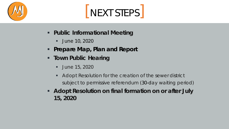

## NEXT STEPS

- **Public Informational Meeting**
	- **June 10, 2020**
- **Prepare Map, Plan and Report**
- **Town Public Hearing** 
	- **June 15, 2020**
	- Adopt Resolution for the creation of the sewer district subject to permissive referendum (30-day waiting period)
- **Adopt Resolution on final formation on or after July 15, 2020**